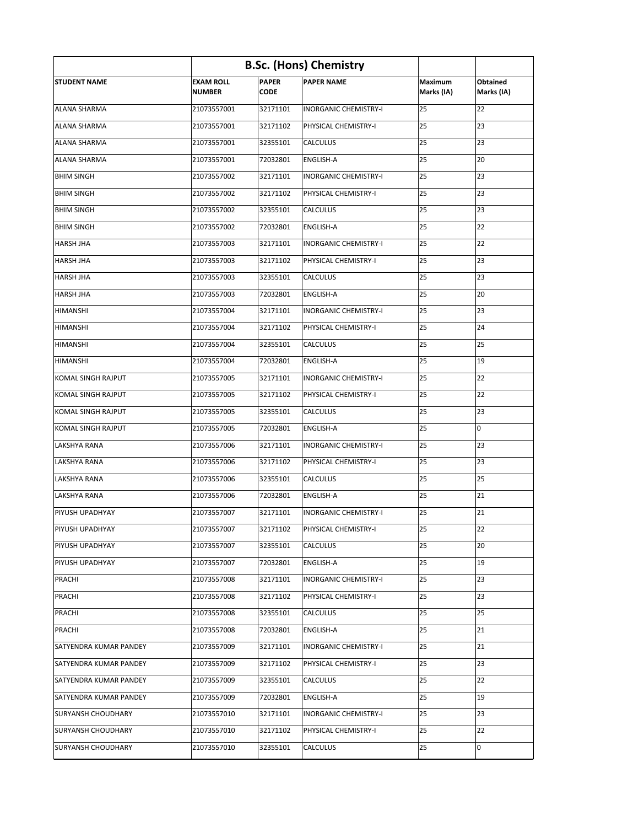| <b>B.Sc. (Hons) Chemistry</b> |                                   |                             |                              |                       |                               |  |  |  |
|-------------------------------|-----------------------------------|-----------------------------|------------------------------|-----------------------|-------------------------------|--|--|--|
| <b>STUDENT NAME</b>           | <b>EXAM ROLL</b><br><b>NUMBER</b> | <b>PAPER</b><br><b>CODE</b> | <b>PAPER NAME</b>            | Maximum<br>Marks (IA) | <b>Obtained</b><br>Marks (IA) |  |  |  |
| <b>ALANA SHARMA</b>           | 21073557001                       | 32171101                    | <b>INORGANIC CHEMISTRY-I</b> | 25                    | 22                            |  |  |  |
| <b>ALANA SHARMA</b>           | 21073557001                       | 32171102                    | <b>PHYSICAL CHEMISTRY-I</b>  | 25                    | 23                            |  |  |  |
| <b>ALANA SHARMA</b>           | 21073557001                       | 32355101                    | <b>CALCULUS</b>              | 25                    | 23                            |  |  |  |
| <b>ALANA SHARMA</b>           | 21073557001                       | 72032801                    | <b>ENGLISH-A</b>             | 25                    | 20                            |  |  |  |
| <b>BHIM SINGH</b>             | 21073557002                       | 32171101                    | <b>INORGANIC CHEMISTRY-I</b> | 25                    | 23                            |  |  |  |
| <b>BHIM SINGH</b>             | 21073557002                       | 32171102                    | PHYSICAL CHEMISTRY-I         | 25                    | 23                            |  |  |  |
| <b>BHIM SINGH</b>             | 21073557002                       | 32355101                    | <b>CALCULUS</b>              | 25                    | 23                            |  |  |  |
| <b>BHIM SINGH</b>             | 21073557002                       | 72032801                    | <b>ENGLISH-A</b>             | 25                    | 22                            |  |  |  |
| <b>HARSH JHA</b>              | 21073557003                       | 32171101                    | <b>INORGANIC CHEMISTRY-I</b> | 25                    | 22                            |  |  |  |
| <b>HARSH JHA</b>              | 21073557003                       | 32171102                    | PHYSICAL CHEMISTRY-I         | 25                    | 23                            |  |  |  |
| <b>HARSH JHA</b>              | 21073557003                       | 32355101                    | <b>CALCULUS</b>              | 25                    | 23                            |  |  |  |
| <b>HARSH JHA</b>              | 21073557003                       | 72032801                    | <b>ENGLISH-A</b>             | 25                    | 20                            |  |  |  |
| <b>HIMANSHI</b>               | 21073557004                       | 32171101                    | <b>INORGANIC CHEMISTRY-I</b> | 25                    | 23                            |  |  |  |
| <b>HIMANSHI</b>               | 21073557004                       | 32171102                    | PHYSICAL CHEMISTRY-I         | 25                    | 24                            |  |  |  |
| <b>HIMANSHI</b>               | 21073557004                       | 32355101                    | <b>CALCULUS</b>              | 25                    | 25                            |  |  |  |
| <b>HIMANSHI</b>               | 21073557004                       | 72032801                    | <b>ENGLISH-A</b>             | 25                    | 19                            |  |  |  |
| <b>KOMAL SINGH RAJPUT</b>     | 21073557005                       | 32171101                    | <b>INORGANIC CHEMISTRY-I</b> | 25                    | 22                            |  |  |  |
| KOMAL SINGH RAJPUT            | 21073557005                       | 32171102                    | PHYSICAL CHEMISTRY-I         | 25                    | 22                            |  |  |  |
| <b>KOMAL SINGH RAJPUT</b>     | 21073557005                       | 32355101                    | <b>CALCULUS</b>              | 25                    | 23                            |  |  |  |
| <b>KOMAL SINGH RAJPUT</b>     | 21073557005                       | 72032801                    | <b>ENGLISH-A</b>             | 25                    | 0                             |  |  |  |
| LAKSHYA RANA                  | 21073557006                       | 32171101                    | <b>INORGANIC CHEMISTRY-I</b> | 25                    | 23                            |  |  |  |
| LAKSHYA RANA                  | 21073557006                       | 32171102                    | PHYSICAL CHEMISTRY-I         | 25                    | 23                            |  |  |  |
| LAKSHYA RANA                  | 21073557006                       | 32355101                    | <b>CALCULUS</b>              | 25                    | 25                            |  |  |  |
| LAKSHYA RANA                  | 21073557006                       | 72032801                    | <b>ENGLISH-A</b>             | 25                    | 21                            |  |  |  |
| <b>PIYUSH UPADHYAY</b>        | 21073557007                       | 32171101                    | <b>INORGANIC CHEMISTRY-I</b> | 25                    | 21                            |  |  |  |
| PIYUSH UPADHYAY               | 21073557007                       | 32171102                    | PHYSICAL CHEMISTRY-I         | 25                    | 22                            |  |  |  |
| PIYUSH UPADHYAY               | 21073557007                       | 32355101                    | <b>CALCULUS</b>              | 25                    | 20                            |  |  |  |
| PIYUSH UPADHYAY               | 21073557007                       | 72032801                    | <b>ENGLISH-A</b>             | 25                    | 19                            |  |  |  |
| PRACHI                        | 21073557008                       | 32171101                    | <b>INORGANIC CHEMISTRY-I</b> | 25                    | 23                            |  |  |  |
| <b>PRACHI</b>                 | 21073557008                       | 32171102                    | PHYSICAL CHEMISTRY-I         | 25                    | 23                            |  |  |  |
| PRACHI                        | 21073557008                       | 32355101                    | <b>CALCULUS</b>              | 25                    | 25                            |  |  |  |
| PRACHI                        | 21073557008                       | 72032801                    | <b>ENGLISH-A</b>             | 25                    | 21                            |  |  |  |
| SATYENDRA KUMAR PANDEY        | 21073557009                       | 32171101                    | <b>INORGANIC CHEMISTRY-I</b> | 25                    | 21                            |  |  |  |
| SATYENDRA KUMAR PANDEY        | 21073557009                       | 32171102                    | PHYSICAL CHEMISTRY-I         | 25                    | 23                            |  |  |  |
| <b>SATYENDRA KUMAR PANDEY</b> | 21073557009                       | 32355101                    | <b>CALCULUS</b>              | 25                    | 22                            |  |  |  |
| SATYENDRA KUMAR PANDEY        | 21073557009                       | 72032801                    | <b>ENGLISH-A</b>             | 25                    | 19                            |  |  |  |
| <b>SURYANSH CHOUDHARY</b>     | 21073557010                       | 32171101                    | <b>INORGANIC CHEMISTRY-I</b> | 25                    | 23                            |  |  |  |
| <b>SURYANSH CHOUDHARY</b>     | 21073557010                       | 32171102                    | PHYSICAL CHEMISTRY-I         | 25                    | 22                            |  |  |  |
| <b>SURYANSH CHOUDHARY</b>     | 21073557010                       | 32355101                    | <b>CALCULUS</b>              | 25                    | 0                             |  |  |  |